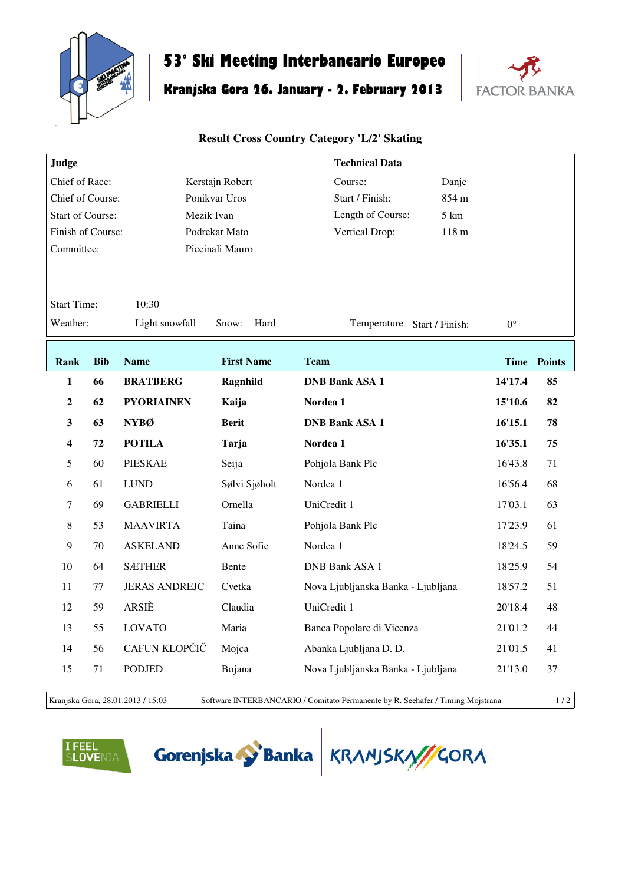

## **53° Ski Meeting Interbancario Europeo**

## **Kranjska Gora 26. January - 2. February 2013**



## **Result Cross Country Category 'L/2' Skating**

| Judge                       |            |                      |                   | <b>Technical Data</b>                |             |                    |  |  |
|-----------------------------|------------|----------------------|-------------------|--------------------------------------|-------------|--------------------|--|--|
| Chief of Race:              |            |                      | Kerstajn Robert   | Course:<br>Danje                     |             |                    |  |  |
| Chief of Course:            |            |                      | Ponikvar Uros     | Start / Finish:<br>854 m             |             |                    |  |  |
| <b>Start of Course:</b>     |            |                      | Mezik Ivan        | Length of Course:<br>$5 \mathrm{km}$ |             |                    |  |  |
| Finish of Course:           |            |                      | Podrekar Mato     | 118 m<br>Vertical Drop:              |             |                    |  |  |
| Committee:                  |            |                      | Piccinali Mauro   |                                      |             |                    |  |  |
|                             |            |                      |                   |                                      |             |                    |  |  |
| <b>Start Time:</b><br>10:30 |            |                      |                   |                                      |             |                    |  |  |
| Weather:                    |            | Light snowfall       | Snow:<br>Hard     | Temperature Start / Finish:          | $0^{\circ}$ |                    |  |  |
|                             |            |                      |                   |                                      |             |                    |  |  |
| <b>Rank</b>                 | <b>Bib</b> | <b>Name</b>          | <b>First Name</b> | <b>Team</b>                          |             | <b>Time Points</b> |  |  |
| $\mathbf{1}$                | 66         | <b>BRATBERG</b>      | Ragnhild          | <b>DNB Bank ASA 1</b>                | 14'17.4     | 85                 |  |  |
| $\boldsymbol{2}$            | 62         | <b>PYORIAINEN</b>    | Kaija             | Nordea 1                             | 15'10.6     | 82                 |  |  |
| $\mathbf{3}$                | 63         | <b>NYBØ</b>          | <b>Berit</b>      | <b>DNB Bank ASA 1</b>                | 16'15.1     | 78                 |  |  |
| $\overline{\mathbf{4}}$     | 72         | <b>POTILA</b>        | Tarja             | Nordea 1                             | 16'35.1     | 75                 |  |  |
|                             |            |                      |                   |                                      |             |                    |  |  |
| 5                           | 60         | <b>PIESKAE</b>       | Seija             | Pohjola Bank Plc                     | 16'43.8     | 71                 |  |  |
| 6                           | 61         | <b>LUND</b>          | Sølvi Sjøholt     | Nordea 1                             | 16'56.4     | 68                 |  |  |
| $\overline{7}$              | 69         | <b>GABRIELLI</b>     | Ornella           | UniCredit 1                          | 17'03.1     | 63                 |  |  |
| $\,8\,$                     | 53         | <b>MAAVIRTA</b>      | Taina             | Pohjola Bank Plc                     | 17'23.9     | 61                 |  |  |
| 9                           | 70         | <b>ASKELAND</b>      | Anne Sofie        | Nordea 1                             | 18'24.5     | 59                 |  |  |
| 10                          | 64         | <b>SÆTHER</b>        | Bente             | <b>DNB Bank ASA 1</b>                | 18'25.9     | 54                 |  |  |
| 11                          | 77         | <b>JERAS ANDREJC</b> | Cvetka            | Nova Ljubljanska Banka - Ljubljana   | 18'57.2     | 51                 |  |  |
| 12                          | 59         | ARSIÈ                | Claudia           | UniCredit 1                          | 20'18.4     | 48                 |  |  |
| 13                          | 55         | <b>LOVATO</b>        | Maria             | Banca Popolare di Vicenza            | 21'01.2     | 44                 |  |  |
| 14                          | 56         | CAFUN KLOPČIČ        | Mojca             | Abanka Ljubljana D. D.               | 21'01.5     | 41                 |  |  |
| 15                          | 71         | <b>PODJED</b>        | Bojana            | Nova Ljubljanska Banka - Ljubljana   | 21'13.0     | 37                 |  |  |
|                             |            |                      |                   |                                      |             |                    |  |  |

Kranjska Gora, 28.01.2013 / 15:03 Software INTERBANCARIO / Comitato Permanente by R. Seehafer / Timing Mojstrana 1 / 2